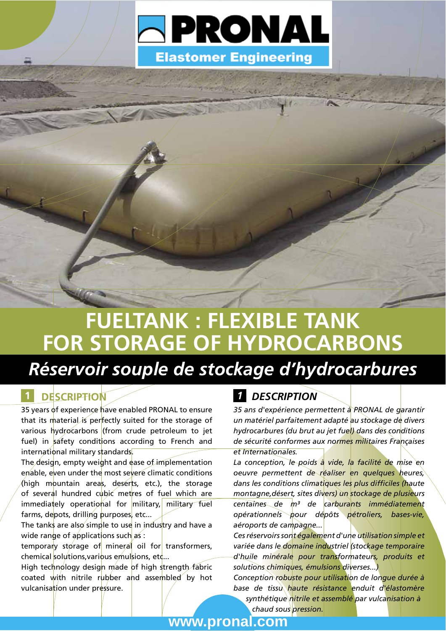

# **FUELTANK: FLEXIBLE TANK** FOR STORAGE OF HYDROCARBONS

# Réservoir souple de stockage d'hydrocarbures

## **DESCRIPTION**

35 years of experience have enabled PRONAL to ensure that its material is perfectly suited for the storage of various hydrocarbons (from crude petroleum to jet fuel) in safety conditions according to French and international military standards.

The design, empty weight and ease of implementation enable, even under the most severe climatic conditions (high mountain areas, deserts, etc.), the storage of several hundred cubic metres of fuel which are immediately operational for military, military fuel farms, depots, drilling purposes, etc...

The tanks are also simple to use in industry and have a wide range of applications such as :

temporary storage of mineral oil for transformers, chemical solutions, various emulsions, etc...

High technology design made of high strength fabric coated with nitrile rubber and assembled by hot vulcanisation under pressure.

### **1** DESCRIPTION

35 ans d'expérience permettent à PRONAL de garantir un matériel parfaitement adapté au stockage de divers hydrocarbures (du brut au jet fuel) dans des conditions de sécurité conformes aux normes militaires Françaises et Internationales.

La conception, le poids à vide, la facilité de mise en oeuvre permettent de réaliser en quelques heures, dans les conditions climatiques les plus difficiles (haute montagne, désert, sites divers) un stockage de plusieurs centaines de m<sup>3</sup> de carburants immédiatement opérationnels pour dépôts pétroliers, bases-vie, aéroports de campagne...

Ces réservoirs sont également d'une utilisation simple et variée dans le domaine industriel (stockage temporaire d'huile minérale pour transformateurs, produits et solutions chimiques, émulsions diverses...)

Conception robuste pour utilisation de longue durée à base de tissu haute résistance enduit d'élastomère synthétique nitrile et assemblé par vulcanisation à

chaud sous pression.

www.pronal.com